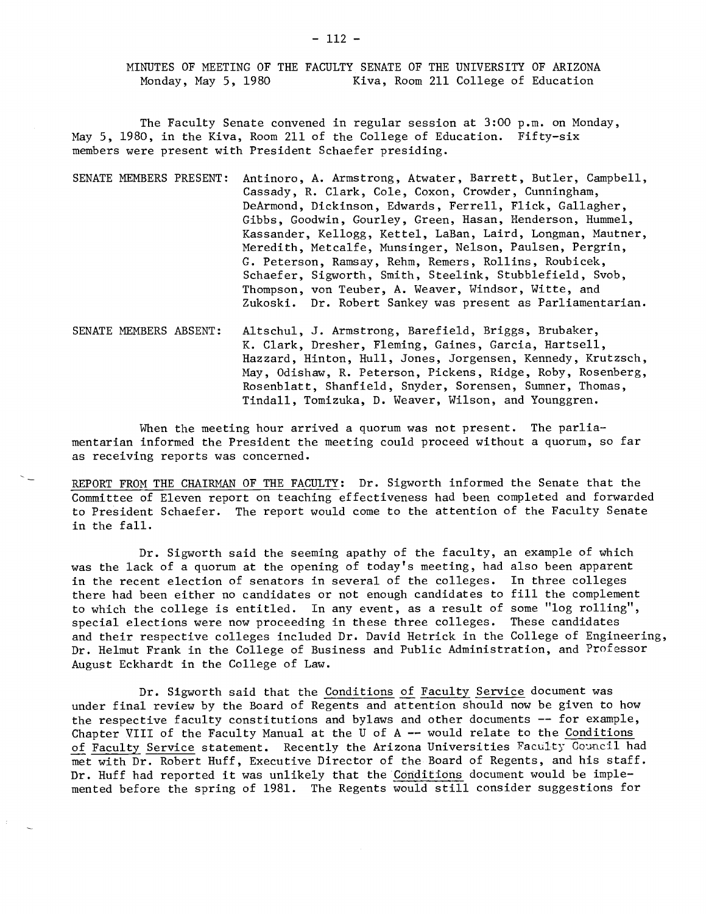MINUTES OF MEETING OF THE FACULTY SENATE OF TRE UNIVERSITY OF ARIZONA Monday, May 5, 1980 Kiva, Room 211 College of Education

The Faculty Senate convened in regular session at 3:00 p.m. on Monday, May 5, 1980, in the Kiva, Room 211 of the College of Education. Fifty-síx members were present with President Schaefer presiding.

- SENATE MEMBERS PRESENT: Antinoro, A. Armstrong, Atwater, Barrett, Butler, Campbell, Cassady, R. Clark, Cole, Coxon, Crowder, Cunningham, DeArmond, Dickinson, Edwards, Ferrell, Flick, Gallagher, Gibbs, Goodwin, Gourley, Green, Hasan, Henderson, Rummel, Kassander, Kellogg, Kettel, LaBan, Laird, Longman, Mautner, Meredith, Metcalfe, Nunsinger, Nelson, Paulsen, Pergrin, G. Peterson, Ramsay, Rehm, Remers, Rollins, Roubicek, Schaefer, Sigworth, Smith, Steelink, Stubblefield, Svob, Thompson, von Teuber, A. Weaver, Windsor, Witte, and Zukoski. Dr. Robert Sankey was present as Parliamentarian.
- SENATE MEMBERS ABSENT: Altschul, J. Armstrong, Barefield, Briggs, Brubaker, K. Clark, Dresher, Fleming, Gaines, Garcia, Hartsell, Hazzard, Hinton, Hull, Jones, Jorgensen, Kennedy, Krutzsch, May, Odishaw, R. Peterson, Pickens, Ridge, Roby, Rosenberg, Rosenblatt, Shanfield, Snyder, Sorensen, Sumner, Thomas, Tindall, Tomizuka, D. Weaver, Wilson, and Younggren.

When the meeting hour arrived a quorum was not present. The parliamentarian informed the President the meeting could proceed without a quorum, so far as receiving reports was concerned.

REPORT FROM THE CHAIRMAN 0F THE FACULTY: Dr. Sigworth informed the Senate that the Committee of Eleven report on teaching effectiveness had been completed and forwarded to President Schaefer. The report would come to the attention of the Faculty Senate in the fall.

Dr. Sigworth said the seeming apathy of the faculty, an example of which was the lack of a quorum at the opening of today's meeting, had also been apparent in the recent election of senators in several of the colleges. In three colleges there had been either no candidates or not enough candidates to fill the complement to which the college is entitled. In any event, as a result of some "log rolling", special elections were now proceeding in these three colleges. These candidates and their respective colleges included Dr. David Hetrick in the College of Engineering, Dr. Helmut Frank in the College of Business and Public Administration, and Professor August Eckhardt in the College of Law.

Dr. Sigworth said that the Conditions of Faculty Service document was under final review by the Board of Regents and attention should now be given to how the respective faculty constitutions and bylaws and other documents -- for example, Chapter VIII of the Faculty Manual at the U of A -- would relate to the Conditions of Faculty Service statement. Recently the Arizona Universities Faculty Council had met with Dr. Robert Huff, Executive Director of the Board of Regents, and his staff. Dr. Huff had reported it was unlikely that the Conditions document would be implemented before the spring of 1981. The Regents would still consider suggestions for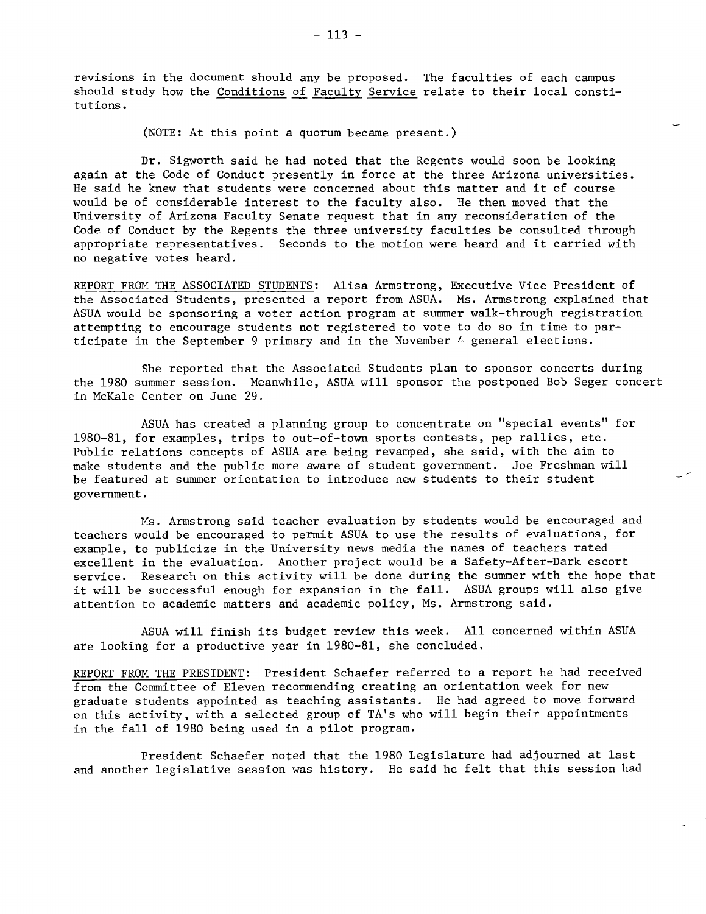revisions in the document should any be proposed. The faculties of each campus should study how the Conditions of Faculty Service relate to their local constitutions.

(NOTE: At this point a quorum became present.)

Dr. Sigworth said he had noted that the Regents would soon be looking again at the Code of Conduct presently in force at the three Arizona universities. He said he knew that students were concerned about this matter and it of course would be of considerable interest to the faculty also. He then moved that the University of Arizona Faculty Senate request that in any reconsideration of the Code of Conduct by the Regents the three university faculties be consulted through appropriate representatives. Seconds to the motion were heard and it carried with no negative votes heard.

REPORT FROM THE ASSOCIATED STUDENTS: Alisa Armstrong, Executive Vice President of the Associated Students, presented a report from ASUA. Ms. Armstrong explained that ASUA would be sponsoring a voter action program at summer walk-through registration attempting to encourage students not registered to vote to do so in time to participate in the September 9 primary and in the November 4 general elections.

She reported that the Associated Students plan to sponsor concerts during the 1980 summer session. Meanwhile, ASUA will sponsor the postponed Bob Seger concert in McKale Center on June 29.

ASUA has created a planning group to concentrate on "special events" for 1980-81, for examples, trips to out-of-town sports contests, pep rallies, etc. Public relations concepts of ASUA are being revamped, she said, with the aim to make students and the public more aware of student government. Joe Freshman will be featured at summer orientation to introduce new students to their student government.

Ms. Armstrong said teacher evaluation by students would be encouraged and teachers would be encouraged to permit ASUA to use the results of evaluations, for example, to publicize in the University news media the names of teachers rated excellent in the evaluation. Another project would be a Safety-After-Dark escort service. Research on this activity will be done during the summer with the hope that it will be successful enough for expansion in the fall. ASUA groups will also give attention to academic matters and academic policy, Ms. Armstrong said.

ASUA will finish its budget review this week. All concerned within ASUA are looking for a productive year in 1980-81, she concluded.

REPORT FROM THE PRESIDENT: President Schaefer referred to a report he had received from the Committee of Eleven recommending creating an orientation week for new graduate students appointed as teaching assistants. He had agreed to move forward on this activity, with a selected group of TA's who will begin their appointments in the fall of 1980 being used in a pilot program.

President Schaefer noted that the 1980 Legislature had adjourned at last and another legislative session was history. He said he felt that this session had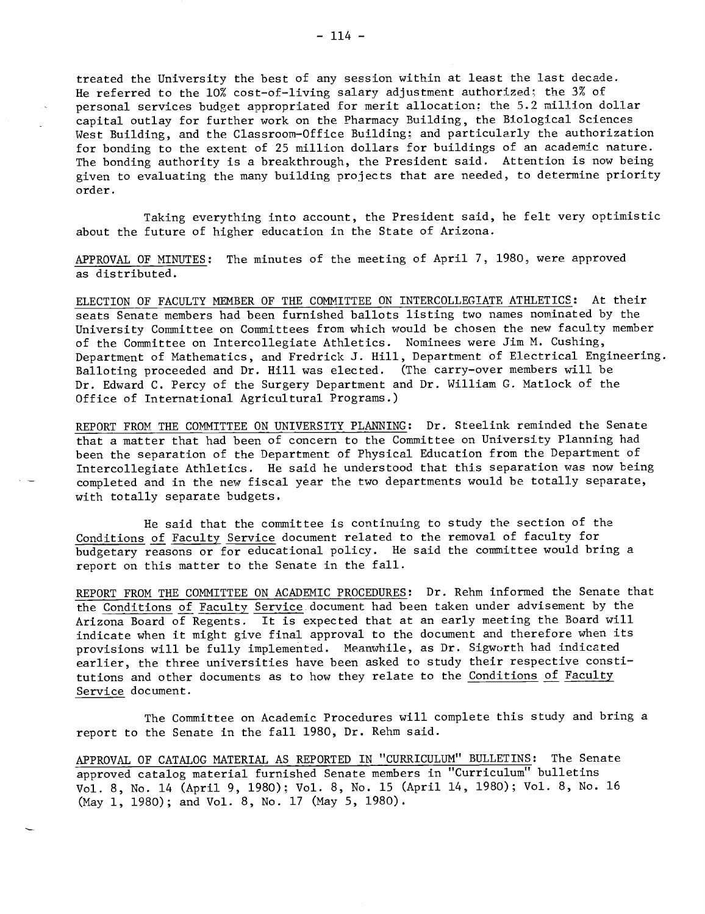treated the University the best of any session within at least the last decade. He referred to the 10% cost-of-living salary adjustment authorized; the 3% of personal services budget appropriated for merit allocation; the 5.2 million dollar capital outlay for further work on the Pharmacy Building, the Biological Sciences West Building, and the Classroom-Office Building; and particularly the authorization for bonding to the extent of 25 million dollars for buildings of an academic nature. The bonding authority is a breakthrough, the President said. Attention is now being given to evaluating the many building projects that are needed, to determine priority order.

Taking everything into account, the President said, he felt very optimistic about the future of higher education in the State of Arizona.

APPROVAL 0F MINUTES: The minutes of the meeting of April 7, 1980, were approved as distributed.

ELECTION OF FACULTY MEMBER OF THE COMMITTEE ON INTERCOLLEGIATE ATHLETICS: At their seats Senate members had been furnished ballots listing two names nominated by the University Committee on Committees from which would be chosen the new faculty member of the Committee on Intercollegiate Athletics. Nominees were Jim M. Cushing, Department of Mathematics, and Fredrick J. Hill, Department of Electrical Engineering. Balloting proceeded and Dr. Hill was elected. (The carry-over members will be Dr. Edward C. Percy of the Surgery Department and Dr. William G. Matlock of the Office of International Agricultural Programs.)

REPORT FROM THE CONMITTEE ON UNIVERSITY PLANNING: Dr. Steelink reminded the Senate that a matter that had been of concern to the Committee on University Planning had been the separation of the Department of Physical Education from the Department of Intercollegiate Athletics. He said he understood that this separation was now being completed and in the new fiscal year the two departments would be totally separate, with totally separate budgets.

He said that the committee is continuing to study the section of the Conditions of Faculty Service document related to the removal of faculty for budgetary reasons or for educational policy. He said the committee would bring a report on this matter to the Senate in the fall.

REPORT FROM THE CONMITTEE ON ACADEMIC PROCEDURES: Dr. Rehm informed the Senate that the Conditions of Faculty Service document had been taken under advisement by the Arizona Board of Regents. It is expected that at an early meeting the Board will indicate when it might give final approval to the document and therefore when its provisions will he fully implemented. Meanwhile, as Dr. Sigworth had indicated earlier, the three universities have been asked to study their respective constitutions and other documents as to how they relate to the Conditions of Faculty Service document.

The Committee on Academic Procedures will complete this study and bring a report to the Senate in the fall 1980, Dr. Rehm said.

APPROVAL OF CATALOG MATERIAL AS REPORTED IN "CURRICULUM" BULLETINS: The Senate approved catalog material furnished Senate members in "Curriculum" bulletins Vol. 8, No. 14 (April 9, 1980); Vol. 8, No. 15 (April 14, 1980); Vol. 8, No. 16 (May 1, 1980); and Vol. 8, No. 17 (May 5, 1980).